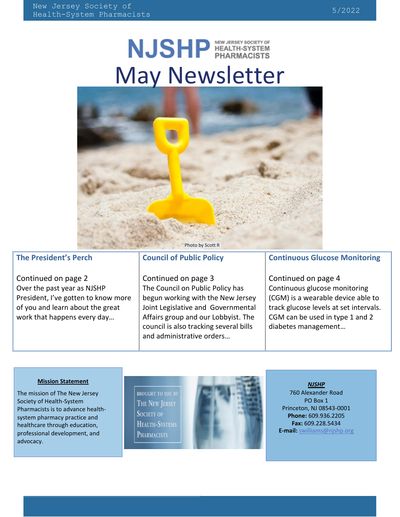# NJSHP HEALTH-SYSTEM May Newsletter



### **The President's Perch**

Continued on page 2 Over the past year as NJSHP President, I've gotten to know more of you and learn about the great work that happens every day…

### **Council of Public Policy**

Continued on page 3 The Council on Public Policy has begun working with the New Jersey Joint Legislative and Governmental Affairs group and our Lobbyist. The council is also tracking several bills and administrative orders…

### **Continuous Glucose Monitoring**

Continued on page 4 Continuous glucose monitoring (CGM) is a wearable device able to track glucose levels at set intervals. CGM can be used in type 1 and 2 diabetes management…

#### **Mission Statement**

The mission of The New Jersey Society of Health-System Pharmacists is to advance healthsystem pharmacy practice and healthcare through education, professional development, and advocacy.

**BROUGHT TO YOU BY** THE NEW JERSEY **SOCIETY OF** HEALTH-SYSTEMS **PHARMACISTS** 



#### *NJSHP*

760 Alexander Road PO Box 1 Princeton, NJ 08543-0001 **Phone:** 609.936.2205 **Fax:** 609.228.5434 **E-mail:** swilliams@njshp.org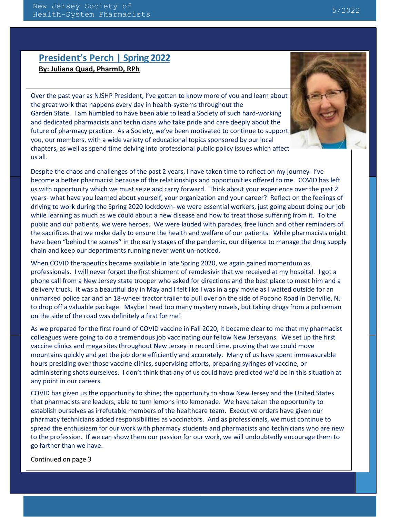## **President's Perch | Spring 2022 By: Juliana Quad, PharmD, RPh**

Over the past year as NJSHP President, I've gotten to know more of you and learn about the great work that happens every day in health-systems throughout the Garden State. I am humbled to have been able to lead a Society of such hard-working and dedicated pharmacists and technicians who take pride and care deeply about the future of pharmacy practice. As a Society, we've been motivated to continue to support you, our members, with a wide variety of educational topics sponsored by our local chapters, as well as spend time delving into professional public policy issues which affect us all.



Despite the chaos and challenges of the past 2 years, I have taken time to reflect on my journey- I've become a better pharmacist because of the relationships and opportunities offered to me. COVID has left us with opportunity which we must seize and carry forward. Think about your experience over the past 2 years- what have you learned about yourself, your organization and your career? Reflect on the feelings of driving to work during the Spring 2020 lockdown- we were essential workers, just going about doing our job while learning as much as we could about a new disease and how to treat those suffering from it. To the public and our patients, we were heroes. We were lauded with parades, free lunch and other reminders of the sacrifices that we make daily to ensure the health and welfare of our patients. While pharmacists might have been "behind the scenes" in the early stages of the pandemic, our diligence to manage the drug supply chain and keep our departments running never went un-noticed.

When COVID therapeutics became available in late Spring 2020, we again gained momentum as professionals. I will never forget the first shipment of remdesivir that we received at my hospital. I got a phone call from a New Jersey state trooper who asked for directions and the best place to meet him and a delivery truck. It was a beautiful day in May and I felt like I was in a spy movie as I waited outside for an unmarked police car and an 18-wheel tractor trailer to pull over on the side of Pocono Road in Denville, NJ to drop off a valuable package. Maybe I read too many mystery novels, but taking drugs from a policeman on the side of the road was definitely a first for me!

As we prepared for the first round of COVID vaccine in Fall 2020, it became clear to me that my pharmacist colleagues were going to do a tremendous job vaccinating our fellow New Jerseyans. We set up the first vaccine clinics and mega sites throughout New Jersey in record time, proving that we could move mountains quickly and get the job done efficiently and accurately. Many of us have spent immeasurable hours presiding over those vaccine clinics, supervising efforts, preparing syringes of vaccine, or administering shots ourselves. I don't think that any of us could have predicted we'd be in this situation at any point in our careers.

COVID has given us the opportunity to shine; the opportunity to show New Jersey and the United States that pharmacists are leaders, able to turn lemons into lemonade. We have taken the opportunity to establish ourselves as irrefutable members of the healthcare team. Executive orders have given our pharmacy technicians added responsibilities as vaccinators. And as professionals, we must continue to spread the enthusiasm for our work with pharmacy students and pharmacists and technicians who are new to the profession. If we can show them our passion for our work, we will undoubtedly encourage them to go farther than we have.

Continued on page 3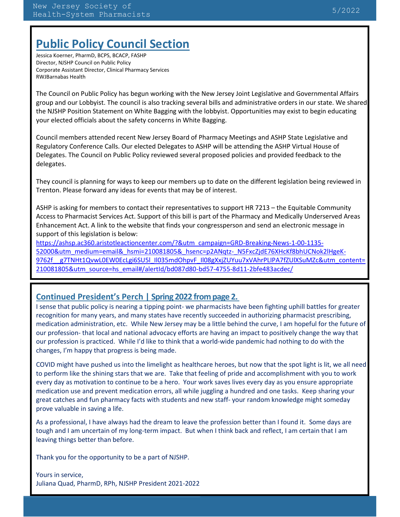# **Public Policy Council Section**

Jessica Koerner, PharmD, BCPS, BCACP, FASHP Director, NJSHP Council on Public Policy Corporate Assistant Director, Clinical Pharmacy Services RWJBarnabas Health

The Council on Public Policy has begun working with the New Jersey Joint Legislative and Governmental Affairs group and our Lobbyist. The council is also tracking several bills and administrative orders in our state. We shared the NJSHP Position Statement on White Bagging with the lobbyist. Opportunities may exist to begin educating your elected officials about the safety concerns in White Bagging.

Council members attended recent New Jersey Board of Pharmacy Meetings and ASHP State Legislative and Regulatory Conference Calls. Our elected Delegates to ASHP will be attending the ASHP Virtual House of Delegates. The Council on Public Policy reviewed several proposed policies and provided feedback to the delegates.

They council is planning for ways to keep our members up to date on the different legislation being reviewed in Trenton. Please forward any ideas for events that may be of interest.

ASHP is asking for members to contact their representatives to support HR 7213 – the Equitable Community Access to Pharmacist Services Act. Support of this bill is part of the Pharmacy and Medically Underserved Areas Enhancement Act. A link to the website that finds your congressperson and send an electronic message in support of this legislation is below:

[https://ashsp.ac360.aristotleactioncenter.com/?&utm\\_campaign=GRD-Breaking-News-1-00-1135-](https://ashsp.ac360.aristotleactioncenter.com/?&utm_campaign=GRD-Breaking-News-1-00-1135-52000&utm_medium=email&_hsmi=210081805&_hsenc=p2ANqtz-_N5FxcZjdE76XHcKf8bhUCNok2lHgeK-9762f__g7TNHt1QvwL0EW0EcLgi6SU5l_Il035mdOhpvF_Il08gXxjZUYuu7xVAhrPLIPA7fZUlXSuMZc&utm_content=210081805&utm_source=hs_email#/alertId/bd087d80-bd57-4755-8d11-2bfe483acdec/) [52000&utm\\_medium=email&\\_hsmi=210081805&\\_hsenc=p2ANqtz-\\_N5FxcZjdE76XHcKf8bhUCNok2lHgeK-](https://ashsp.ac360.aristotleactioncenter.com/?&utm_campaign=GRD-Breaking-News-1-00-1135-52000&utm_medium=email&_hsmi=210081805&_hsenc=p2ANqtz-_N5FxcZjdE76XHcKf8bhUCNok2lHgeK-9762f__g7TNHt1QvwL0EW0EcLgi6SU5l_Il035mdOhpvF_Il08gXxjZUYuu7xVAhrPLIPA7fZUlXSuMZc&utm_content=210081805&utm_source=hs_email#/alertId/bd087d80-bd57-4755-8d11-2bfe483acdec/)9762f\_g7TNHt1QvwL0EW0EcLgi6SU5l\_Il035mdOhpvF\_Il08gXxjZUYuu7xVAhrPLIPA7fZUlXSuMZc&utm\_content= [210081805&utm\\_source=hs\\_email#/alertId/bd087d80-bd57-4755-8d11-2bfe483acdec/](https://ashsp.ac360.aristotleactioncenter.com/?&utm_campaign=GRD-Breaking-News-1-00-1135-52000&utm_medium=email&_hsmi=210081805&_hsenc=p2ANqtz-_N5FxcZjdE76XHcKf8bhUCNok2lHgeK-9762f__g7TNHt1QvwL0EW0EcLgi6SU5l_Il035mdOhpvF_Il08gXxjZUYuu7xVAhrPLIPA7fZUlXSuMZc&utm_content=210081805&utm_source=hs_email#/alertId/bd087d80-bd57-4755-8d11-2bfe483acdec/)

### **Continued President's Perch | Spring 2022 from page 2.**

I sense that public policy is nearing a tipping point- we pharmacists have been fighting uphill battles for greater recognition for many years, and many states have recently succeeded in authorizing pharmacist prescribing, medication administration, etc. While New Jersey may be a little behind the curve, I am hopeful for the future of our profession- that local and national advocacy efforts are having an impact to positively change the way that our profession is practiced. While I'd like to think that a world-wide pandemic had nothing to do with the changes, I'm happy that progress is being made.

COVID might have pushed us into the limelight as healthcare heroes, but now that the spot light is lit, we all need to perform like the shining stars that we are. Take that feeling of pride and accomplishment with you to work every day as motivation to continue to be a hero. Your work saves lives every day as you ensure appropriate medication use and prevent medication errors, all while juggling a hundred and one tasks. Keep sharing your great catches and fun pharmacy facts with students and new staff- your random knowledge might someday prove valuable in saving a life.

As a professional, I have always had the dream to leave the profession better than I found it. Some days are tough and I am uncertain of my long-term impact. But when I think back and reflect, I am certain that I am leaving things better than before.

Thank you for the opportunity to be a part of NJSHP.

Yours in service, Juliana Quad, PharmD, RPh, NJSHP President 2021-2022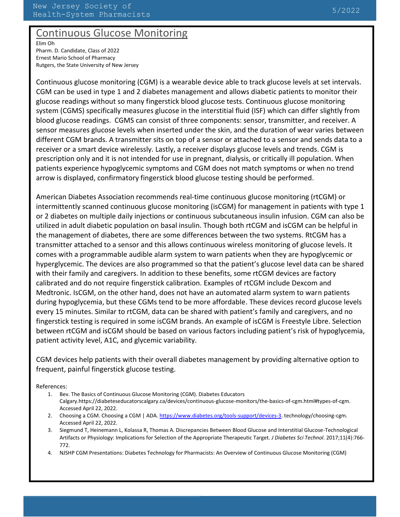# Continuous Glucose Monitoring

Elim Oh Pharm. D. Candidate, Class of 2022 Ernest Mario School of Pharmacy Rutgers, the State University of New Jersey

Continuous glucose monitoring (CGM) is a wearable device able to track glucose levels at set intervals. CGM can be used in type 1 and 2 diabetes management and allows diabetic patients to monitor their glucose readings without so many fingerstick blood glucose tests. Continuous glucose monitoring system (CGMS) specifically measures glucose in the interstitial fluid (ISF) which can differ slightly from blood glucose readings. CGMS can consist of three components: sensor, transmitter, and receiver. A sensor measures glucose levels when inserted under the skin, and the duration of wear varies between different CGM brands. A transmitter sits on top of a sensor or attached to a sensor and sends data to a receiver or a smart device wirelessly. Lastly, a receiver displays glucose levels and trends. CGM is prescription only and it is not intended for use in pregnant, dialysis, or critically ill population. When patients experience hypoglycemic symptoms and CGM does not match symptoms or when no trend arrow is displayed, confirmatory fingerstick blood glucose testing should be performed.

American Diabetes Association recommends real-time continuous glucose monitoring (rtCGM) or intermittently scanned continuous glucose monitoring (isCGM) for management in patients with type 1 or 2 diabetes on multiple daily injections or continuous subcutaneous insulin infusion. CGM can also be utilized in adult diabetic population on basal insulin. Though both rtCGM and isCGM can be helpful in the management of diabetes, there are some differences between the two systems. RtCGM has a transmitter attached to a sensor and this allows continuous wireless monitoring of glucose levels. It comes with a programmable audible alarm system to warn patients when they are hypoglycemic or hyperglycemic. The devices are also programmed so that the patient's glucose level data can be shared with their family and caregivers. In addition to these benefits, some rtCGM devices are factory calibrated and do not require fingerstick calibration. Examples of rtCGM include Dexcom and Medtronic. IsCGM, on the other hand, does not have an automated alarm system to warn patients during hypoglycemia, but these CGMs tend to be more affordable. These devices record glucose levels every 15 minutes. Similar to rtCGM, data can be shared with patient's family and caregivers, and no fingerstick testing is required in some isCGM brands. An example of isCGM is Freestyle Libre. Selection between rtCGM and isCGM should be based on various factors including patient's risk of hypoglycemia, patient activity level, A1C, and glycemic variability.

CGM devices help patients with their overall diabetes management by providing alternative option to frequent, painful fingerstick glucose testing.

References:

- 1. Bev. The Basics of Continuous Glucose Monitoring (CGM). Diabetes Educators Calgary.https://diabeteseducatorscalgary.ca/devices/continuous-glucose-monitors/the-basics-of-cgm.html#types-of-cgm. Accessed April 22, 2022.
- 2. Choosing a CGM. Choosing a CGM | ADA[. https://www.diabetes.org/tools-support/devices-3.](https://www.diabetes.org/tools-support/devices-3) technology/choosing-cgm. Accessed April 22, 2022.
- 3. Siegmund T, Heinemann L, Kolassa R, Thomas A. Discrepancies Between Blood Glucose and Interstitial Glucose-Technological Artifacts or Physiology: Implications for Selection of the Appropriate Therapeutic Target. *J Diabetes Sci Technol*. 2017;11(4):766- 772.
- 4. NJSHP CGM Presentations: Diabetes Technology for Pharmacists: An Overview of Continuous Glucose Monitoring (CGM)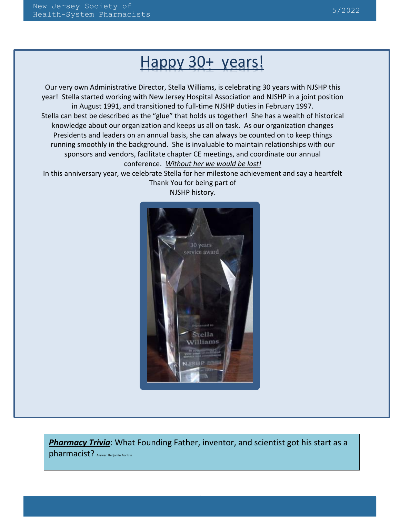# Happy 30+ years!

Our very own Administrative Director, Stella Williams, is celebrating 30 years with NJSHP this year! Stella started working with New Jersey Hospital Association and NJSHP in a joint position in August 1991, and transitioned to full-time NJSHP duties in February 1997. Stella can best be described as the "glue" that holds us together! She has a wealth of historical knowledge about our organization and keeps us all on task. As our organization changes Presidents and leaders on an annual basis, she can always be counted on to keep things running smoothly in the background. She is invaluable to maintain relationships with our sponsors and vendors, facilitate chapter CE meetings, and coordinate our annual conference. *Without her we would be lost!*

In this anniversary year, we celebrate Stella for her milestone achievement and say a heartfelt Thank You for being part of



NJSHP history.

*Pharmacy Trivia*: What Founding Father, inventor, and scientist got his start as a pharmacist? Answer: Benjamin Franklin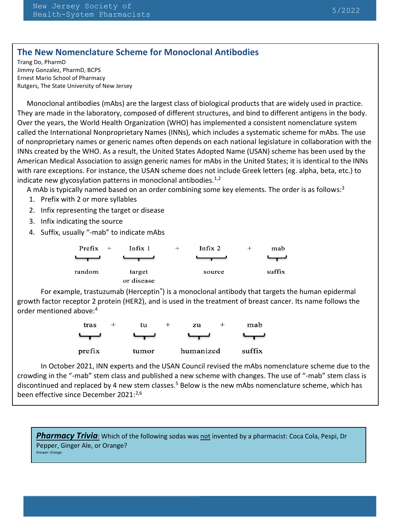### **The New Nomenclature Scheme for Monoclonal Antibodies**

Trang Do, PharmD Jimmy Gonzalez, PharmD, BCPS Ernest Mario School of Pharmacy Rutgers, The State University of New Jersey

Monoclonal antibodies (mAbs) are the largest class of biological products that are widely used in practice. They are made in the laboratory, composed of different structures, and bind to different antigens in the body. Over the years, the World Health Organization (WHO) has implemented a consistent nomenclature system called the International Nonproprietary Names (INNs), which includes a systematic scheme for mAbs. The use of nonproprietary names or generic names often depends on each national legislature in collaboration with the INNs created by the WHO. As a result, the United States Adopted Name (USAN) scheme has been used by the American Medical Association to assign generic names for mAbs in the United States; it is identical to the INNs with rare exceptions. For instance, the USAN scheme does not include Greek letters (eg. alpha, beta, etc.) to indicate new glycosylation patterns in monoclonal antibodies. $1/2$ 

A mAb is typically named based on an order combining some key elements. The order is as follows:<sup>3</sup>

- 1. Prefix with 2 or more syllables
- 2. Infix representing the target or disease
- 3. Infix indicating the source
- 4. Suffix, usually "-mab" to indicate mAbs

6. Only allelic variants

Group 2 **"-bart"** for **antibody artificial**

| Prefix<br>$+$ | Infix 1              | Infix $2$ | $^+$ | mab    |
|---------------|----------------------|-----------|------|--------|
|               |                      |           |      |        |
| random        | target<br>or disease | source    |      | suffix |

For example, trastuzumab (Herceptin<sup>®</sup>) is a monoclonal antibody that targets the human epidermal growth factor receptor 2 protein (HER2), and is used in the treatment of breast cancer. Its name follows the order mentioned above:<sup>4</sup>



In October 2021, INN experts and the USAN Council revised the mAbs nomenclature scheme due to the crowding in the "-mab" stem class and published a new scheme with changes. The use of "-mab" stem class is discontinued and replaced by 4 new stem classes.<sup>5</sup> Below is the new mAbs nomenclature scheme, which has been effective since December 2021:<sup>2,6</sup>

**Pharmacy Trivia**<sup>*:*</sup> Which of the following sodas was not invented by a pharmacist: Coca Cola, Pespi, Dr Pepper, Ginger Ale, or Orange?<br>Answer: Orange Answer: Orange

 $M_{\rm tot}$  is that have any point multiplier immunoglobulins that have any point mutation  $\mu$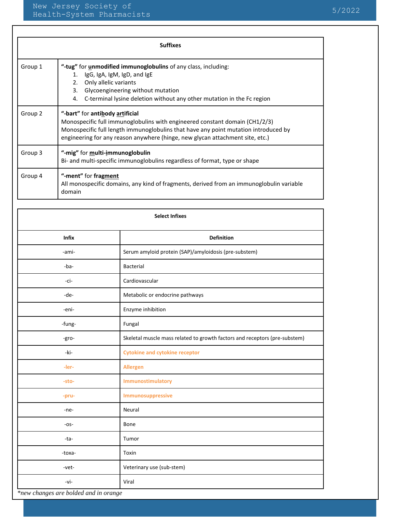| <b>Suffixes</b> |                                                                                                                                                                                                                                                                                        |  |  |  |
|-----------------|----------------------------------------------------------------------------------------------------------------------------------------------------------------------------------------------------------------------------------------------------------------------------------------|--|--|--|
| Group 1         | "-tug" for unmodified immunoglobulins of any class, including:<br>1. IgG, IgA, IgM, IgD, and IgE<br>Only allelic variants<br>2.<br>3.<br>Glycoengineering without mutation<br>C-terminal lysine deletion without any other mutation in the Fc region<br>4.                             |  |  |  |
| Group 2         | "-bart" for antibody artificial<br>Monospecific full immunoglobulins with engineered constant domain (CH1/2/3)<br>Monospecific full length immunoglobulins that have any point mutation introduced by<br>engineering for any reason anywhere (hinge, new glycan attachment site, etc.) |  |  |  |
| Group 3         | "-mig" for multi-immunoglobulin<br>Bi- and multi-specific immunoglobulins regardless of format, type or shape                                                                                                                                                                          |  |  |  |
| Group 4         | "-ment" for fragment<br>All monospecific domains, any kind of fragments, derived from an immunoglobulin variable<br>domain                                                                                                                                                             |  |  |  |

| <b>Select Infixes</b> |                                                                            |  |  |  |
|-----------------------|----------------------------------------------------------------------------|--|--|--|
| <b>Infix</b>          | <b>Definition</b>                                                          |  |  |  |
| -ami-                 | Serum amyloid protein (SAP)/amyloidosis (pre-substem)                      |  |  |  |
| -ba-                  | Bacterial                                                                  |  |  |  |
| -ci-                  | Cardiovascular                                                             |  |  |  |
| -de-                  | Metabolic or endocrine pathways                                            |  |  |  |
| -eni-                 | Enzyme inhibition                                                          |  |  |  |
| -fung-                | Fungal                                                                     |  |  |  |
| -gro-                 | Skeletal muscle mass related to growth factors and receptors (pre-substem) |  |  |  |
| -ki-                  | <b>Cytokine and cytokine receptor</b>                                      |  |  |  |
| -ler-                 | <b>Allergen</b>                                                            |  |  |  |
| -sto-                 | Immunostimulatory                                                          |  |  |  |
| -pru-                 | Immunosuppressive                                                          |  |  |  |
| -ne-                  | Neural                                                                     |  |  |  |
| $-OS-$                | Bone                                                                       |  |  |  |
| -ta-                  | Tumor                                                                      |  |  |  |
| -toxa-                | Toxin                                                                      |  |  |  |
| -vet-                 | Veterinary use (sub-stem)                                                  |  |  |  |
| -vi-                  | Viral                                                                      |  |  |  |

The WHO-INN will release the first list of candidates named under the revised scheme in  $\alpha$ 

*\*new changes are bolded and in orange*